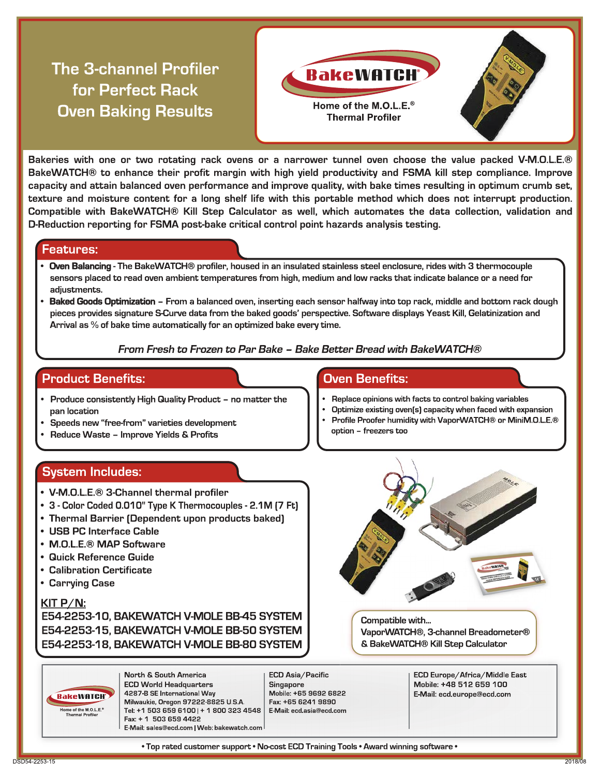# **The 3-channel Profiler** for Perfect Rack **Oven Baking Results**



Bakeries with one or two rotating rack ovens or a narrower tunnel oven choose the value packed V-M.O.L.E.® BakeWATCH® to enhance their profit margin with high yield productivity and FSMA kill step compliance. Improve capacity and attain balanced oven performance and improve quality, with bake times resulting in optimum crumb set, texture and moisture content for a long shelf life with this portable method which does not interrupt production. Compatible with BakeWATCH® Kill Step Calculator as well, which automates the data collection, validation and D-Reduction reporting for FSMA post-bake critical control point hazards analysis testing.

### **Features:**

- Oven Balancing The BakeWATCH® profiler, housed in an insulated stainless steel enclosure, rides with 3 thermocouple sensors placed to read oven ambient temperatures from high, medium and low racks that indicate balance or a need for adjustments.
- Baked Goods Optimization From a balanced oven, inserting each sensor halfway into top rack, middle and bottom rack dough pieces provides signature S-Curve data from the baked goods' perspective. Software displays Yeast Kill, Gelatinization and Arrival as % of bake time automatically for an optimized bake every time.

### From Fresh to Frozen to Par Bake - Bake Better Bread with BakeWATCH®

### **Product Benefits:**

- Produce consistently High Quality Product no matter the pan location
- Speeds new "free-from" varieties development
- Reduce Waste Improve Yields & Profits

### **System Includes:**

- V-M.O.L.E.® 3-Channel thermal profiler
- 3 Color Coded 0.010" Type K Thermocouples 2.1M (7 Ft)
- Thermal Barrier (Dependent upon products baked)
- USB PC Interface Cable
- M.O.L.E.<sup>®</sup> MAP Software
- Quick Reference Guide
- Calibration Certificate
- Carrying Case

### $KIT P/N$ :

E54-2253-10, BAKEWATCH V-MOLE BB-45 SYSTEM E54-2253-15, BAKEWATCH V-MOLE BB-50 SYSTEM E54-2253-18, BAKEWATCH V-MOLE BB-80 SYSTEM

**Oven Benefits:** 

- Replace opinions with facts to control baking variables
- Optimize existing oven(s) capacity when faced with expansion Profile Proofer humidity with VaporWATCH® or MiniM.O.L.E.® option - freezers too



Compatible with... VaporWATCH®, 3-channel Breadometer® & BakeWATCH® Kill Step Calculator

**BakeWATCH** Home of the M.O.L.E.<sup>®</sup><br>Thermal Profiler

North & South America **ECD World Headquarters** 4287 B SE International Way Milwaukie, Oregon 97222-8825 U.S.A. Tel: +1 503 659 6100 | + 1 800 323 4548 | Fax: + 1 503 659 4422 E-Mail: sales@ecd.com | Web: bakewatch.com

ECD Asia/Pacific **Singapore** Mobile: +65 9692 6822 Fax: +65 6241 9890 E-Mail: ecd.asia@ecd.com

ECD Europe/Africa/Middle East Mobile: +48 512 659 100 E-Mail: ecd.europe@ecd.com

. Top rated customer support . No-cost ECD Training Tools . Award winning software \*